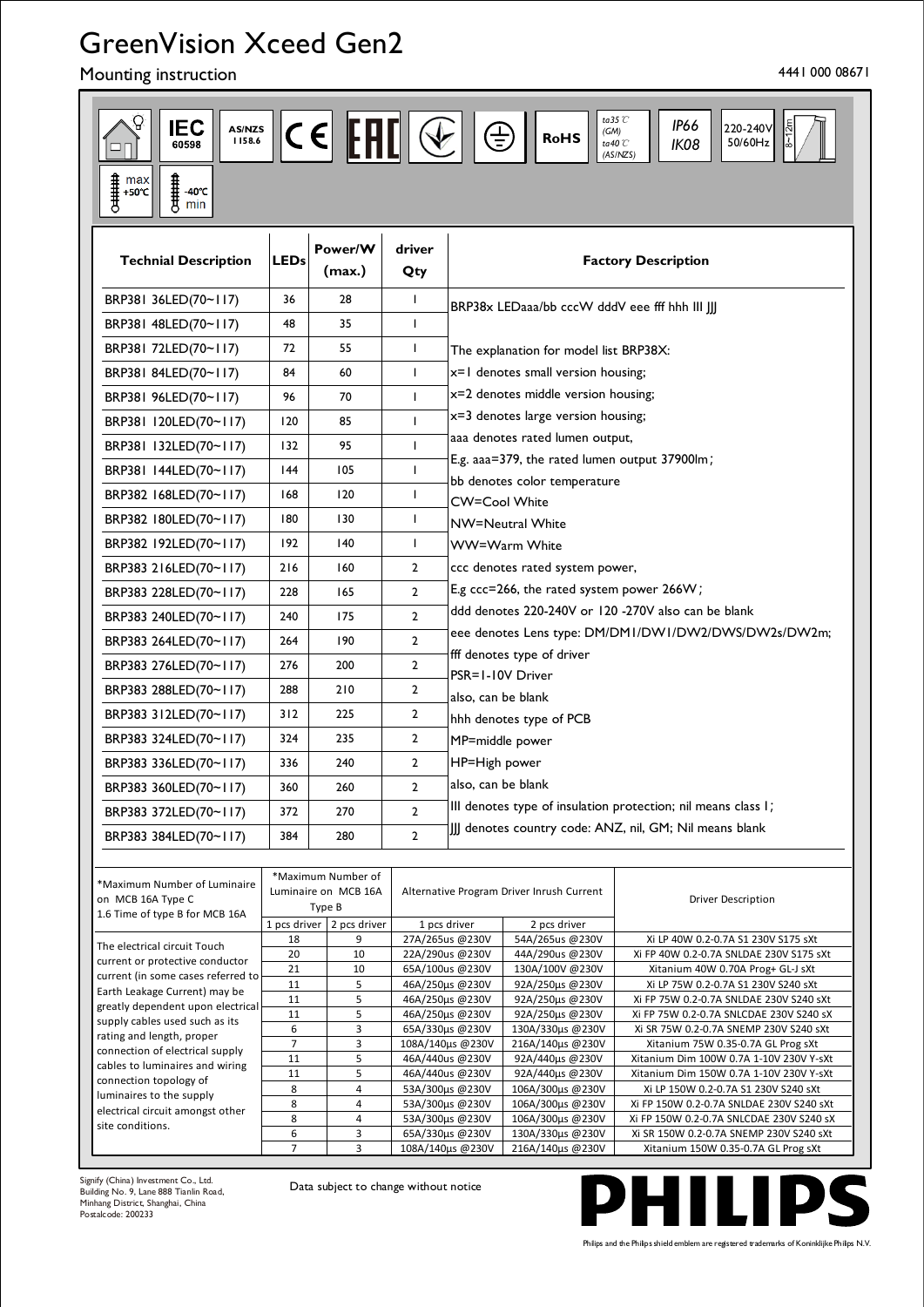# GreenVision Xceed Gen2

Mounting instruction and the state of the state of the state of the state of the state of the 4441 000 08671

| ta<br>35 $\mathcal C$<br><b>IEC</b><br><b>IP66</b><br>$ {\mathsf c}\in]$ [FH[] $\ll$ $ $<br>220-240V<br>AS/NZS<br>$\bigoplus$<br>(GM)<br><b>RoHS</b><br>1158.6<br>50/60Hz<br>ta40 $\mathcal C$<br>IK08<br>60598<br>(AS/NZS)<br>$\begin{array}{l} \textcolor{red}{\widehat{\textbf{H}}}\ \ \textcolor{red}{\textbf{max}} \\ \textcolor{red}{\widehat{\textbf{H}}}\ \ \textcolor{red}{\textbf{+50°C}} \end{array}$<br>计计算<br>$-40^{\circ}$ C<br>min |                      |                                                      |                |                                                               |                                                |                                                                                     |  |
|---------------------------------------------------------------------------------------------------------------------------------------------------------------------------------------------------------------------------------------------------------------------------------------------------------------------------------------------------------------------------------------------------------------------------------------------------|----------------------|------------------------------------------------------|----------------|---------------------------------------------------------------|------------------------------------------------|-------------------------------------------------------------------------------------|--|
| <b>Technial Description</b>                                                                                                                                                                                                                                                                                                                                                                                                                       | LEDs                 | Power/W<br>(max.)                                    | driver<br>Qty  | <b>Factory Description</b>                                    |                                                |                                                                                     |  |
| BRP381 36LED(70~117)                                                                                                                                                                                                                                                                                                                                                                                                                              | 36                   | 28                                                   | T              |                                                               | BRP38x LEDaaa/bb cccW dddV eee fff hhh III JJJ |                                                                                     |  |
| BRP381 48LED(70~117)                                                                                                                                                                                                                                                                                                                                                                                                                              | 48                   | 35                                                   | T              |                                                               |                                                |                                                                                     |  |
| BRP381 72LED(70~117)                                                                                                                                                                                                                                                                                                                                                                                                                              | 72                   | 55                                                   | L              |                                                               | The explanation for model list BRP38X:         |                                                                                     |  |
| BRP381 84LED(70~117)                                                                                                                                                                                                                                                                                                                                                                                                                              | 84                   | 60                                                   | L              | x=1 denotes small version housing;                            |                                                |                                                                                     |  |
| BRP381 96LED(70~117)                                                                                                                                                                                                                                                                                                                                                                                                                              | 96                   | 70                                                   | $\mathbf{I}$   | x=2 denotes middle version housing;                           |                                                |                                                                                     |  |
|                                                                                                                                                                                                                                                                                                                                                                                                                                                   | 120                  | 85                                                   | $\mathbf{I}$   | x=3 denotes large version housing;                            |                                                |                                                                                     |  |
| BRP381 I20LED(70~117)                                                                                                                                                                                                                                                                                                                                                                                                                             |                      |                                                      |                | aaa denotes rated lumen output,                               |                                                |                                                                                     |  |
| BRP381 I32LED(70~117)                                                                                                                                                                                                                                                                                                                                                                                                                             | 132                  | 95                                                   | $\mathbf{I}$   | E.g. aaa=379, the rated lumen output 37900lm;                 |                                                |                                                                                     |  |
| BRP381 144LED(70~117)                                                                                                                                                                                                                                                                                                                                                                                                                             | 144                  | 105                                                  | $\mathbf{I}$   | bb denotes color temperature                                  |                                                |                                                                                     |  |
| BRP382 168LED(70~117)                                                                                                                                                                                                                                                                                                                                                                                                                             | 168                  | 120                                                  | $\mathbf{I}$   | <b>CW=Cool White</b>                                          |                                                |                                                                                     |  |
| BRP382 180LED(70~117)                                                                                                                                                                                                                                                                                                                                                                                                                             | 180                  | 130                                                  | T              | NW=Neutral White                                              |                                                |                                                                                     |  |
| BRP382 192LED(70~117)                                                                                                                                                                                                                                                                                                                                                                                                                             | 192                  | 140                                                  | T              | WW=Warm White                                                 |                                                |                                                                                     |  |
| BRP383 216LED(70~117)                                                                                                                                                                                                                                                                                                                                                                                                                             | 216                  | 160                                                  | $\overline{2}$ | ccc denotes rated system power,                               |                                                |                                                                                     |  |
| BRP383 228LED(70~117)                                                                                                                                                                                                                                                                                                                                                                                                                             | 228                  | 165                                                  | $\mathbf{2}$   | E.g ccc=266, the rated system power 266W;                     |                                                |                                                                                     |  |
| BRP383 240LED(70~117)                                                                                                                                                                                                                                                                                                                                                                                                                             | 240                  | 175                                                  | $\overline{2}$ | ddd denotes 220-240V or 120 -270V also can be blank           |                                                |                                                                                     |  |
| BRP383 264LED(70~117)                                                                                                                                                                                                                                                                                                                                                                                                                             | 264                  | 190                                                  | $\mathbf{2}$   | eee denotes Lens type: DM/DM1/DW1/DW2/DWS/DW2s/DW2m;          |                                                |                                                                                     |  |
|                                                                                                                                                                                                                                                                                                                                                                                                                                                   | 276                  | 200                                                  | $\overline{2}$ | fff denotes type of driver                                    |                                                |                                                                                     |  |
| BRP383 276LED(70~117)                                                                                                                                                                                                                                                                                                                                                                                                                             |                      |                                                      |                | PSR=1-10V Driver                                              |                                                |                                                                                     |  |
| BRP383 288LED(70~117)                                                                                                                                                                                                                                                                                                                                                                                                                             | 288                  | 210                                                  | $\overline{2}$ | also, can be blank                                            |                                                |                                                                                     |  |
| BRP383 312LED(70~117)                                                                                                                                                                                                                                                                                                                                                                                                                             | 312                  | 225                                                  | 2              | hhh denotes type of PCB                                       |                                                |                                                                                     |  |
| BRP383 324LED(70~117)                                                                                                                                                                                                                                                                                                                                                                                                                             | 324                  | 235                                                  | $\overline{2}$ | MP=middle power                                               |                                                |                                                                                     |  |
| BRP383 336LED(70~117)                                                                                                                                                                                                                                                                                                                                                                                                                             | 336                  | 240                                                  | $\overline{2}$ | HP=High power                                                 |                                                |                                                                                     |  |
| BRP383 360LED(70~117)                                                                                                                                                                                                                                                                                                                                                                                                                             | 360                  | 260                                                  | 2              | lalso. can be blank                                           |                                                |                                                                                     |  |
| BRP383 372LED(70~117)                                                                                                                                                                                                                                                                                                                                                                                                                             | 372                  | 270                                                  | $\mathbf{2}$   | III denotes type of insulation protection; nil means class I; |                                                |                                                                                     |  |
| BRP383 384LED(70~117)                                                                                                                                                                                                                                                                                                                                                                                                                             | 384                  | 280                                                  | $\overline{2}$ | [JJ] denotes country code: ANZ, nil, GM; Nil means blank      |                                                |                                                                                     |  |
|                                                                                                                                                                                                                                                                                                                                                                                                                                                   |                      |                                                      |                |                                                               |                                                |                                                                                     |  |
| *Maximum Number of Luminaire<br>on MCB 16A Type C<br>1.6 Time of type B for MCB 16A                                                                                                                                                                                                                                                                                                                                                               |                      | *Maximum Number of<br>Luminaire on MCB 16A<br>Type B |                | Alternative Program Driver Inrush Current                     |                                                | <b>Driver Description</b>                                                           |  |
|                                                                                                                                                                                                                                                                                                                                                                                                                                                   |                      | 1 pcs driver $\vert$ 2 pcs driver                    |                | 1 pcs driver                                                  | 2 pcs driver                                   |                                                                                     |  |
| The electrical circuit Touch                                                                                                                                                                                                                                                                                                                                                                                                                      | 18<br>20             | 9<br>10                                              |                | 27A/265us @230V<br>22A/290us @230V                            | 54A/265us @230V<br>44A/290us @230V             | Xi LP 40W 0.2-0.7A S1 230V S175 sXt<br>Xi FP 40W 0.2-0.7A SNLDAE 230V S175 sXt      |  |
| current or protective conductor<br>current (in some cases referred to                                                                                                                                                                                                                                                                                                                                                                             | 21                   | 10                                                   |                | 65A/100us @230V                                               | 130A/100V @230V                                | Xitanium 40W 0.70A Prog+ GL-J sXt                                                   |  |
| Earth Leakage Current) may be                                                                                                                                                                                                                                                                                                                                                                                                                     | 11<br>11             | 5<br>5                                               |                | 46A/250us @230V<br>46A/250us @230V                            | 92A/250us @230V<br>92A/250µs @230V             | Xi LP 75W 0.2-0.7A S1 230V S240 sXt<br>Xi FP 75W 0.2-0.7A SNLDAE 230V S240 sXt      |  |
| greatly dependent upon electrical<br>supply cables used such as its                                                                                                                                                                                                                                                                                                                                                                               | 11                   | 5                                                    |                | 46A/250us @230V                                               | 92A/250us @230V                                | Xi FP 75W 0.2-0.7A SNLCDAE 230V S240 sX                                             |  |
| rating and length, proper                                                                                                                                                                                                                                                                                                                                                                                                                         | 6                    | 3                                                    |                | 65A/330us @230V                                               | 130A/330μs @230V                               | Xi SR 75W 0.2-0.7A SNEMP 230V S240 sXt                                              |  |
| connection of electrical supply                                                                                                                                                                                                                                                                                                                                                                                                                   | $\overline{7}$<br>11 | 3<br>5                                               |                | 108A/140us @230V<br>46A/440us @230V                           | 216A/140us @230V<br>92A/440µs @230V            | Xitanium 75W 0.35-0.7A GL Prog sXt<br>Xitanium Dim 100W 0.7A 1-10V 230V Y-sXt       |  |
| cables to luminaires and wiring                                                                                                                                                                                                                                                                                                                                                                                                                   | 11                   | 5                                                    |                | 46A/440us @230V                                               | 92A/440µs @230V                                | Xitanium Dim 150W 0.7A 1-10V 230V Y-sXt                                             |  |
| connection topology of<br>luminaires to the supply                                                                                                                                                                                                                                                                                                                                                                                                | 8                    | $\overline{a}$                                       |                | 53A/300us @230V                                               | 106A/300µs @230V                               | Xi LP 150W 0.2-0.7A S1 230V S240 sXt                                                |  |
| electrical circuit amongst other                                                                                                                                                                                                                                                                                                                                                                                                                  | 8                    | $\overline{a}$                                       |                | 53A/300us @230V                                               | 106A/300us @230V                               | Xi FP 150W 0.2-0.7A SNLDAE 230V S240 sXt                                            |  |
| site conditions.                                                                                                                                                                                                                                                                                                                                                                                                                                  | 8<br>6               | 4<br>3                                               |                | 53A/300µs @230V<br>65A/330us @230V                            | 106A/300µs @230V<br>130A/330µs @230V           | Xi FP 150W 0.2-0.7A SNLCDAE 230V S240 sX<br>Xi SR 150W 0.2-0.7A SNEMP 230V S240 sXt |  |
|                                                                                                                                                                                                                                                                                                                                                                                                                                                   | $\overline{7}$       | 3                                                    |                | 108A/140µs @230V                                              | 216A/140us @230V                               | Xitanium 150W 0.35-0.7A GL Prog sXt                                                 |  |

Signify (China) Investment Co., Ltd. Building No. 9, Lane 888 Tianlin Road, Minhang District, Shanghai, China Postalcode: 200233

Data subject to change without notice



Philips and the Philips shield emblem are registered trademarks of Koninklijke Philips N.V.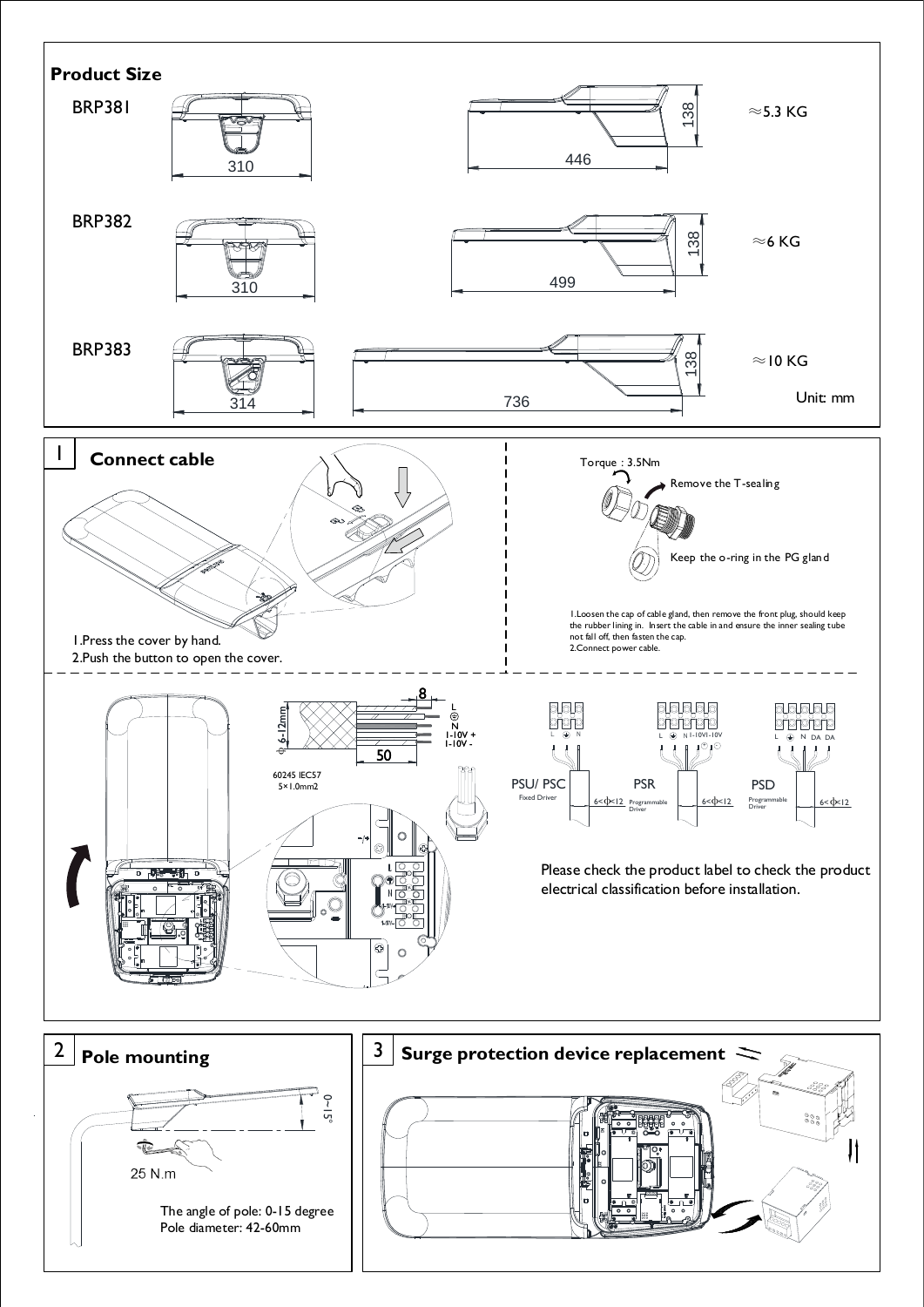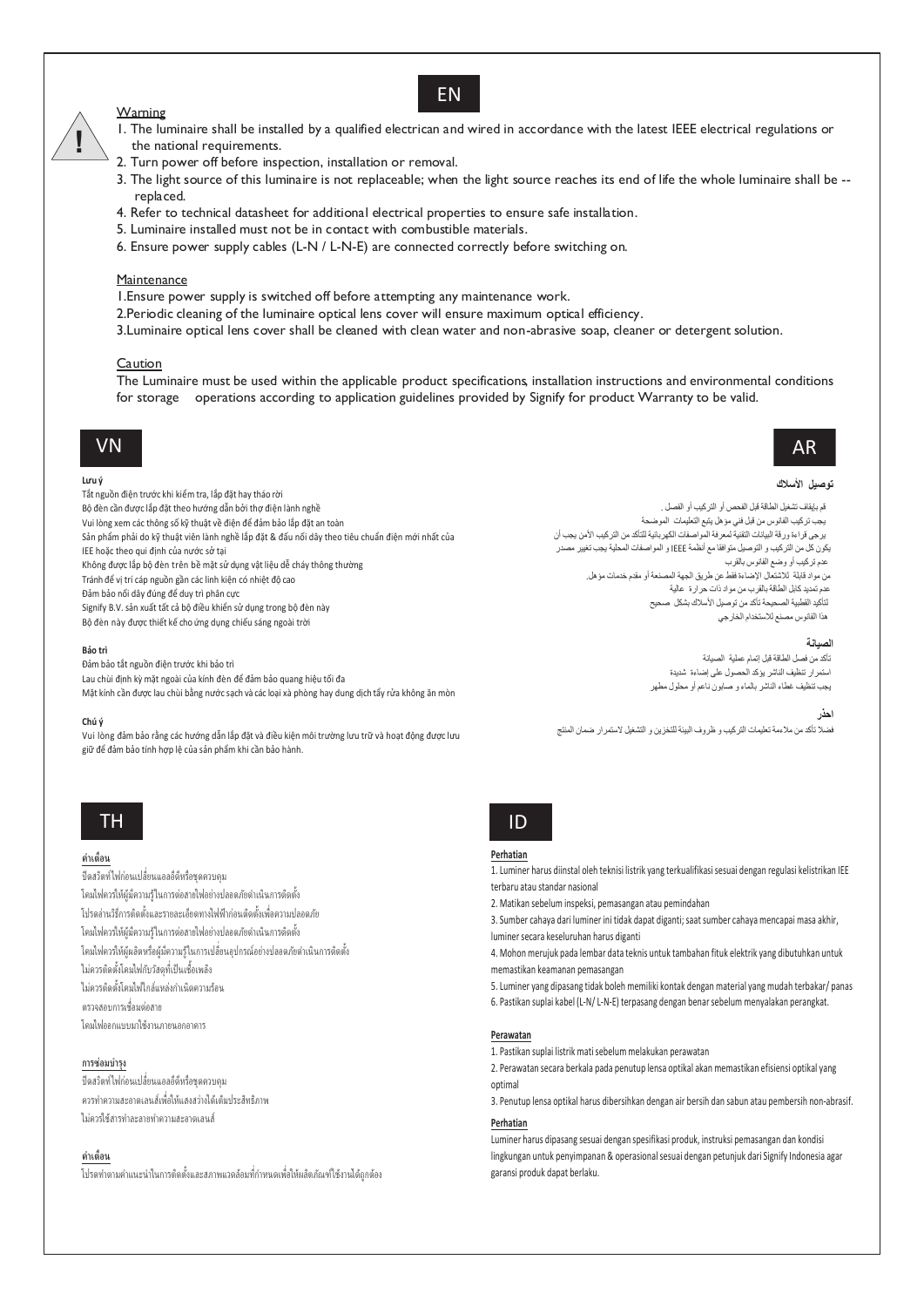# Warning

# I. The luminaire shall be installed by a qualified electrican and wired in accordance with the latest IEEE electrical regulations or the national requirements.

EN

- 2. Turn power off before inspection, installation or removal.
- 3. The light source of this luminaire is not replaceable; when the light source reaches its end of life the whole luminaire shall be -replaced.
- 4. Refer to technical datasheet for additional electrical properties to ensure safe installation.
- 5. Luminaire installed must not be in contact with combustible materials.
- 6. Ensure power supply cables (L-N / L-N-E) are connected correctly before switching on.

# Maintenance

I. Ensure power supply is switched off before attempting any maintenance work.

- 2. Periodic cleaning of the luminaire optical lens cover will ensure maximum optical efficiency.
- 3. Luminaire optical lens cover shall be cleaned with clean water and non-abrasive soap, cleaner or detergent solution.

## Caution

The Luminaire must be used within the applicable product specifications, installation instructions and environmental conditions for storage operations according to application guidelines provided by Signify for product Warranty to be valid.

# **VN**

#### Lưu ý

Tắt nguồn điện trước khi kiểm tra, lắp đặt hay tháo rời Bộ đèn cần được lắp đặt theo hướng dẫn bởi thợ điện lành nghề Vui lòng xem các thông số kỹ thuật về điện để đảm bảo lắp đặt an toàn Sản phẩm phải do kỹ thuật viên lành nghề lắp đặt & đấu nối dây theo tiêu chuẩn điện mới nhất của IEE hoặc theo qui định của nước sở tại Không được lắp bộ đèn trên bề mặt sử dụng vật liệu dễ cháy thông thường Tránh để vị trí cáp nguồn gần các linh kiện có nhiệt độ cao

Đảm bảo nối dây đúng để duy trì phân cực

Signify B.V. sản xuất tất cả bộ điều khiển sử dụng trong bộ đèn này

Bộ đèn này được thiết kế cho ứng dụng chiếu sáng ngoài trời

### Bảo trì

Đảm bảo tắt nguồn điện trước khi bảo trì

- Lau chùi định kỳ mặt ngoài của kính đèn để đảm bảo quang hiệu tối đa
- Mặt kính cần được lau chùi bằng nước sạch và các loại xà phòng hay dung dịch tẩy rửa không ăn mòn

#### Chú ý

Vui lòng đảm bảo rằng các hướng dẫn lắp đặt và điều kiện môi trường lưu trữ và hoạt động được lưu giữ để đảm bảo tính hợp lệ của sản phẩm khi cần bảo hành.

# **TH**

# คำเตื้อน

ปิดสวิตท์ไฟก่อนเปลี่ยนแอลอีดีหรือชุดควบคุม โคมไฟควรให้ผ้มีความร้ในการต่อสายไฟอย่างปลอดภัยดำเนินการติดตั้ง โปรดอ่านวิธีการติดตั้งและรายละเอียดทางไฟฟ้าก่อนติดตั้งเพื่อความปลอดภัย โคมไฟควรให้ผู้มีความรู้ในการต่อสายไฟอย่างปลอดภัยดำเนินการติดตั้ง โคมไฟควรให้ผู้ผลิตหรือผู้มีความรู้ในการเปลี่ยนอุปกรณ์อย่างปลอดภัยดำเนินการติดตั้ง ไม่ควรติดตั้งโคมไฟกับวัสดุที่เป็นเชื้อเพลิง ไม่ควรติดตั้งโคมไฟใกล้แหล่งกำเนิดความร้อน ิตรวจสอบการเชื่อมต่อสาย โคมไฟออกแบบมาใช้งานภายนอกอาคาร

# การซ่อมบำรุง

้ ปิดสวิตท์ไฟก่อนเปลี่ยนแอลอีดีหรือชดควบคม ิ ควรทำความสะอาดเลนส์เพื่อให้แสงสว่างได้เต็มประสิทธิภาพ ไม่คารให้สารทำละลายทำความสะอาคเล่มส์

# คำเดือน

โปรดทำตามคำแนะนำในการติดตั้งและสภาพแวดล้อมที่กำหนดเพื่อให้ผลิตภัณฑ์ใช้งานได้ถูกต้อง

 $ID$ 

## Perhatian

- 1. Luminer harus diinstal oleh teknisi listrik yang terkualifikasi sesuai dengan regulasi kelistrikan IEE terbaru atau standar nasional
- 2. Matikan sebelum inspeksi, pemasangan atau pemindahan
- 3. Sumber cahava dari luminer ini tidak dapat diganti: saat sumber cahava mencapai masa akhir. luminer secara keseluruhan harus diganti
- 4. Mohon merujuk pada lembar data teknis untuk tambahan fituk elektrik yang dibutuhkan untuk memastikan keamanan pemasangan
- 5. Luminer yang dipasang tidak boleh memiliki kontak dengan material yang mudah terbakar/ panas
- 6. Pastikan suplai kabel (L-N/L-N-E) terpasang dengan benar sebelum menyalakan perangkat.

# Perawatan

1 Pastikan sunlai listrik mati sehelum melakukan nerawatan

2. Perawatan secara berkala pada penutup lensa optikal akan memastikan efisiensi optikal yang ontimal

3. Penutup lensa optikal harus dibersihkan dengan air bersih dan sabun atau pembersih non-abrasif.

# Perhatian

Luminer harus dipasang sesuai dengan spesifikasi produk, instruksi pemasangan dan kondisi lingkungan untuk penyimpanan & operasional sesuai dengan petunjuk dari Signify Indonesia agar garansi produk dapat berlaku.

## نه صبل الأسلاك

AR

قد دانقاف تشغيل الطاقة قبل الفحص أو التزكيب أو الفصل . يجب تركيب الفانوس من قبل فني مؤهل يتبع التعليمات الموضحة يرجى قراءة ورقة البيانات التقنية لمعرفة المواصفات الكهربائية للتأكد من التركيب الأمن يجب أن يكون كل من التركيب و التوصيل متوافقا مع أنظمة JEEE و المواصفات المحلية يجب تغيير مصدر عدم تركيب أو وضع الفانوس بالقرب .<br>من مواد قابلة للاشتعال الإضاءة فقط عن طريق الجهة المصنعة أو مقدم خدمات مؤهل. ي<br>عدم تمديد كابل الطاقة بالقرب من مواد ذات حرارة عالية<br>لتأكيد القطبية الصحيحة تأكد من توصيل الأسلاك بشكل صحيح هذا الفانوس مصنع للاستخدام الخارجي

### الصيانة

.<br>تأكد من فصل الطاقة قبل إتمام عملية الصيانة .<br>استمر ار تنظیف الناشر یؤکد الحصول علی اصاءة شدیدة ر<br>يجب تنظيف غطاء الناشر بالماء و صابون ناعم أو محلول مطهر

# احذر

فضلا تأكد من ملاءمة تعليمات التركيب و ظروف البيئة للتخزين و التشغيل لاستمر ار ضمان المنتج